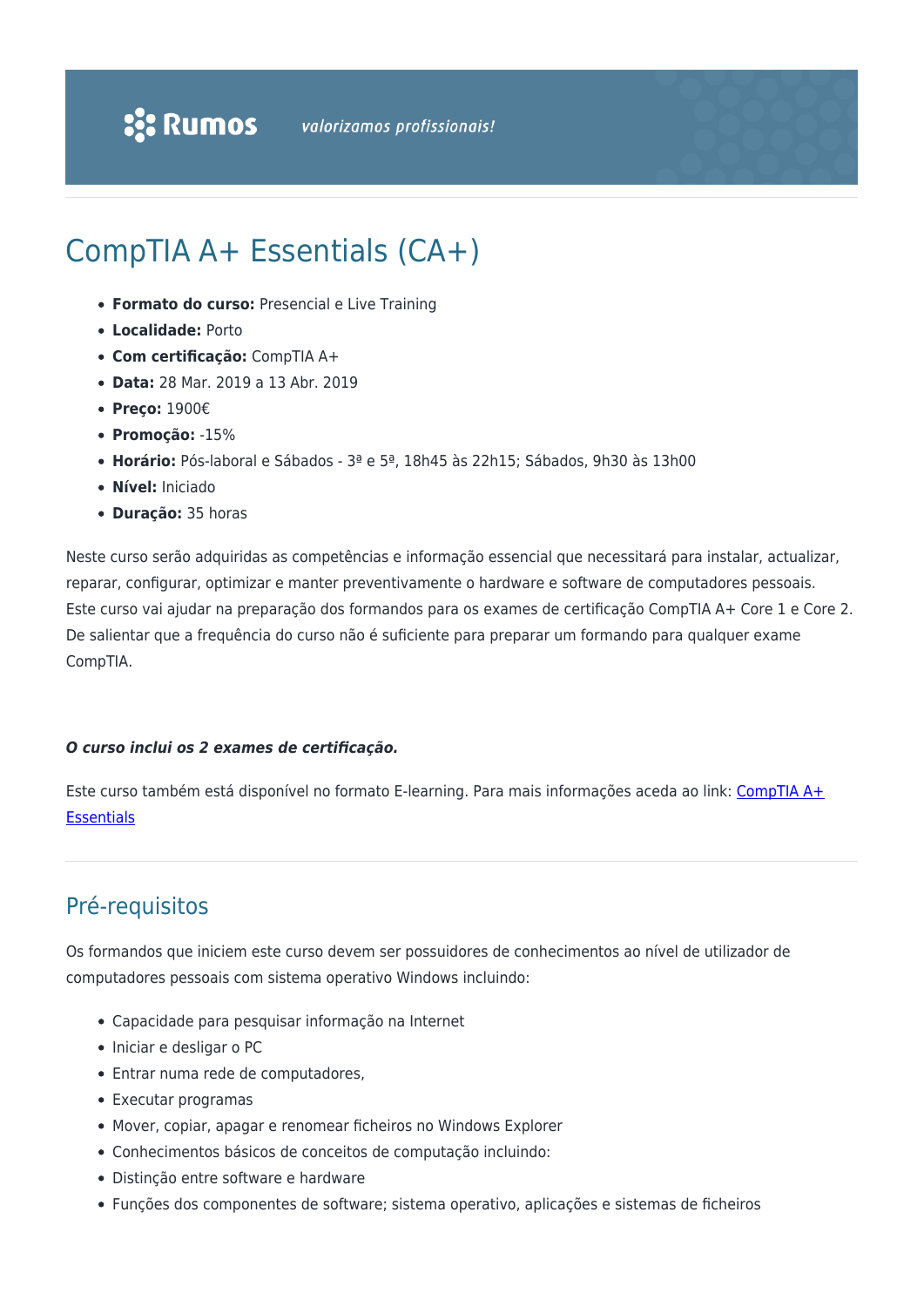# CompTIA A+ Essentials (CA+)

- **Formato do curso:** Presencial e Live Training
- **Localidade:** Porto
- **Com certificação:** CompTIA A+
- **Data:** 28 Mar. 2019 a 13 Abr. 2019
- **Preço:** 1900€
- **Promoção:** -15%
- **Horário:** Pós-laboral e Sábados 3ª e 5ª, 18h45 às 22h15; Sábados, 9h30 às 13h00
- **Nível:** Iniciado
- **Duração:** 35 horas

Neste curso serão adquiridas as competências e informação essencial que necessitará para instalar, actualizar, reparar, configurar, optimizar e manter preventivamente o hardware e software de computadores pessoais. Este curso vai ajudar na preparação dos formandos para os exames de certificação CompTIA A+ Core 1 e Core 2. De salientar que a frequência do curso não é suficiente para preparar um formando para qualquer exame CompTIA.

#### *O curso inclui os 2 exames de certificação.*

Este curso também está disponível no formato E-learning. Para mais informações aceda ao link: [CompTIA A+](https://www.rumos.pt/curso/comptia-aessentials-e-learning/) **[Essentials](https://www.rumos.pt/curso/comptia-aessentials-e-learning/)** 

### Pré-requisitos

Os formandos que iniciem este curso devem ser possuidores de conhecimentos ao nível de utilizador de computadores pessoais com sistema operativo Windows incluindo:

- Capacidade para pesquisar informação na Internet
- Iniciar e desligar o PC
- Entrar numa rede de computadores,
- Executar programas
- Mover, copiar, apagar e renomear ficheiros no Windows Explorer
- Conhecimentos básicos de conceitos de computação incluindo:
- Distinção entre software e hardware
- Funções dos componentes de software; sistema operativo, aplicações e sistemas de ficheiros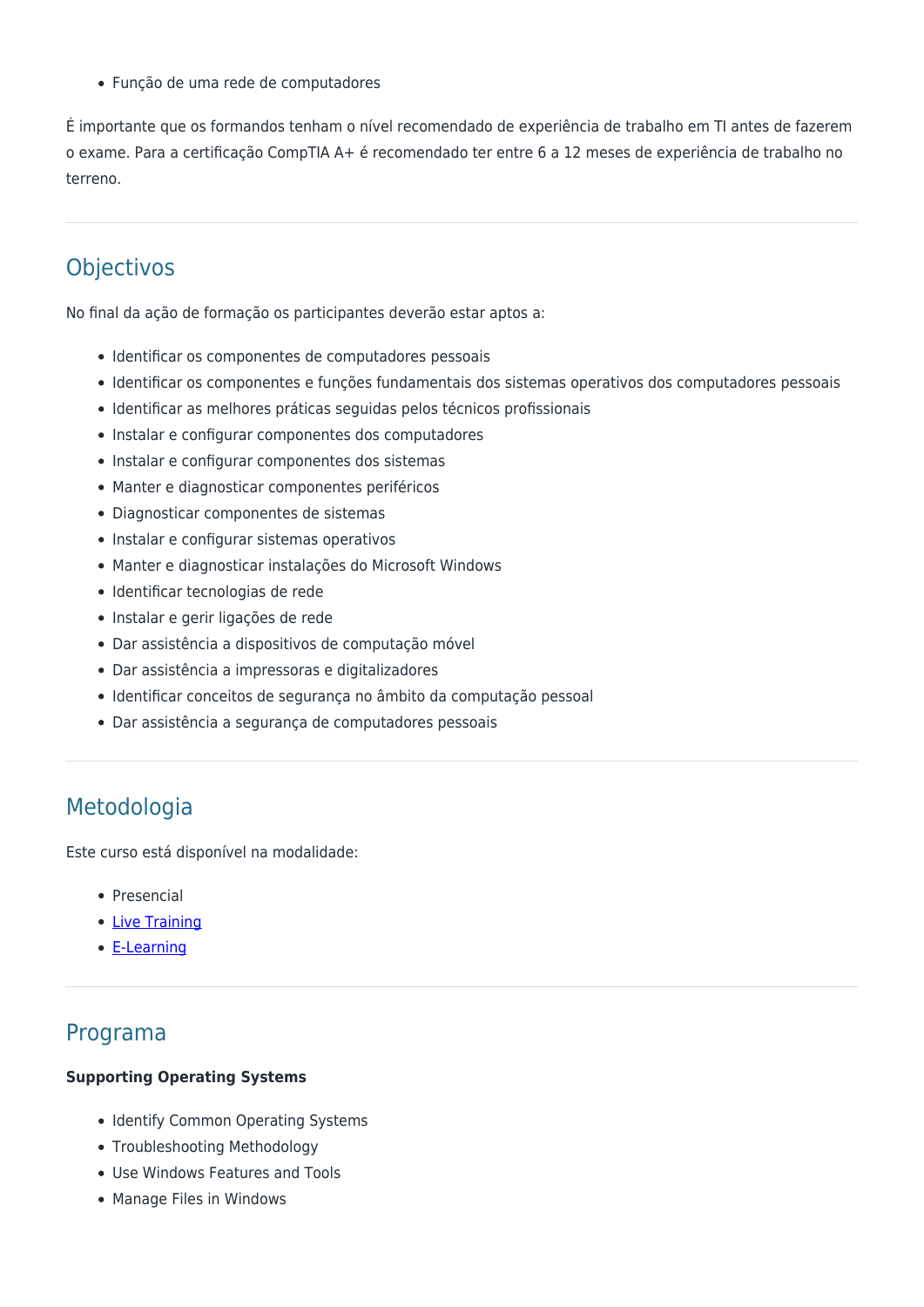Função de uma rede de computadores

É importante que os formandos tenham o nível recomendado de experiência de trabalho em TI antes de fazerem o exame. Para a certificação CompTIA A+ é recomendado ter entre 6 a 12 meses de experiência de trabalho no terreno.

## **Objectivos**

No final da ação de formação os participantes deverão estar aptos a:

- Identificar os componentes de computadores pessoais
- Identificar os componentes e funções fundamentais dos sistemas operativos dos computadores pessoais
- Identificar as melhores práticas seguidas pelos técnicos profissionais
- Instalar e configurar componentes dos computadores
- Instalar e configurar componentes dos sistemas
- Manter e diagnosticar componentes periféricos
- Diagnosticar componentes de sistemas
- Instalar e configurar sistemas operativos
- Manter e diagnosticar instalações do Microsoft Windows
- Identificar tecnologias de rede
- Instalar e gerir ligações de rede
- Dar assistência a dispositivos de computação móvel
- Dar assistência a impressoras e digitalizadores
- Identificar conceitos de segurança no âmbito da computação pessoal
- Dar assistência a segurança de computadores pessoais

### Metodologia

Este curso está disponível na modalidade:

- Presencial
- [Live Training](https://rumos.pt/formacao/rumos-live-training/)
- [E-Learning](https://www.rumos.pt/curso/comptia-aessentials-e-learning/)

### Programa

#### **Supporting Operating Systems**

- Identify Common Operating Systems
- Troubleshooting Methodology
- Use Windows Features and Tools
- Manage Files in Windows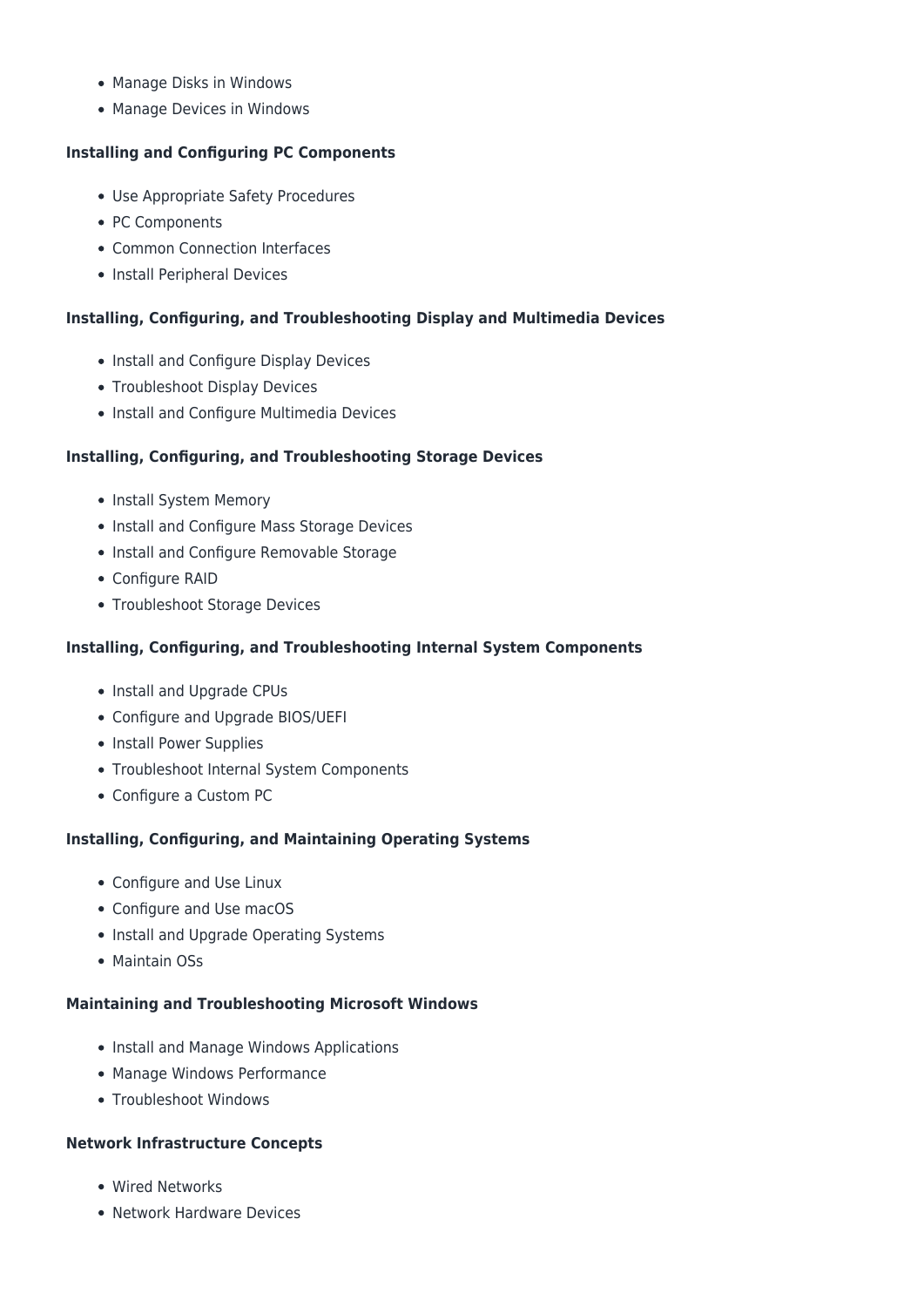- Manage Disks in Windows
- Manage Devices in Windows

#### **Installing and Configuring PC Components**

- Use Appropriate Safety Procedures
- PC Components
- Common Connection Interfaces
- Install Peripheral Devices

#### **Installing, Configuring, and Troubleshooting Display and Multimedia Devices**

- Install and Configure Display Devices
- Troubleshoot Display Devices
- Install and Configure Multimedia Devices

#### **Installing, Configuring, and Troubleshooting Storage Devices**

- Install System Memory
- Install and Configure Mass Storage Devices
- Install and Configure Removable Storage
- Configure RAID
- Troubleshoot Storage Devices

#### **Installing, Configuring, and Troubleshooting Internal System Components**

- Install and Upgrade CPUs
- Configure and Upgrade BIOS/UEFI
- Install Power Supplies
- Troubleshoot Internal System Components
- Configure a Custom PC

#### **Installing, Configuring, and Maintaining Operating Systems**

- Configure and Use Linux
- Configure and Use macOS
- Install and Upgrade Operating Systems
- Maintain OSs

#### **Maintaining and Troubleshooting Microsoft Windows**

- Install and Manage Windows Applications
- Manage Windows Performance
- Troubleshoot Windows

#### **Network Infrastructure Concepts**

- Wired Networks
- Network Hardware Devices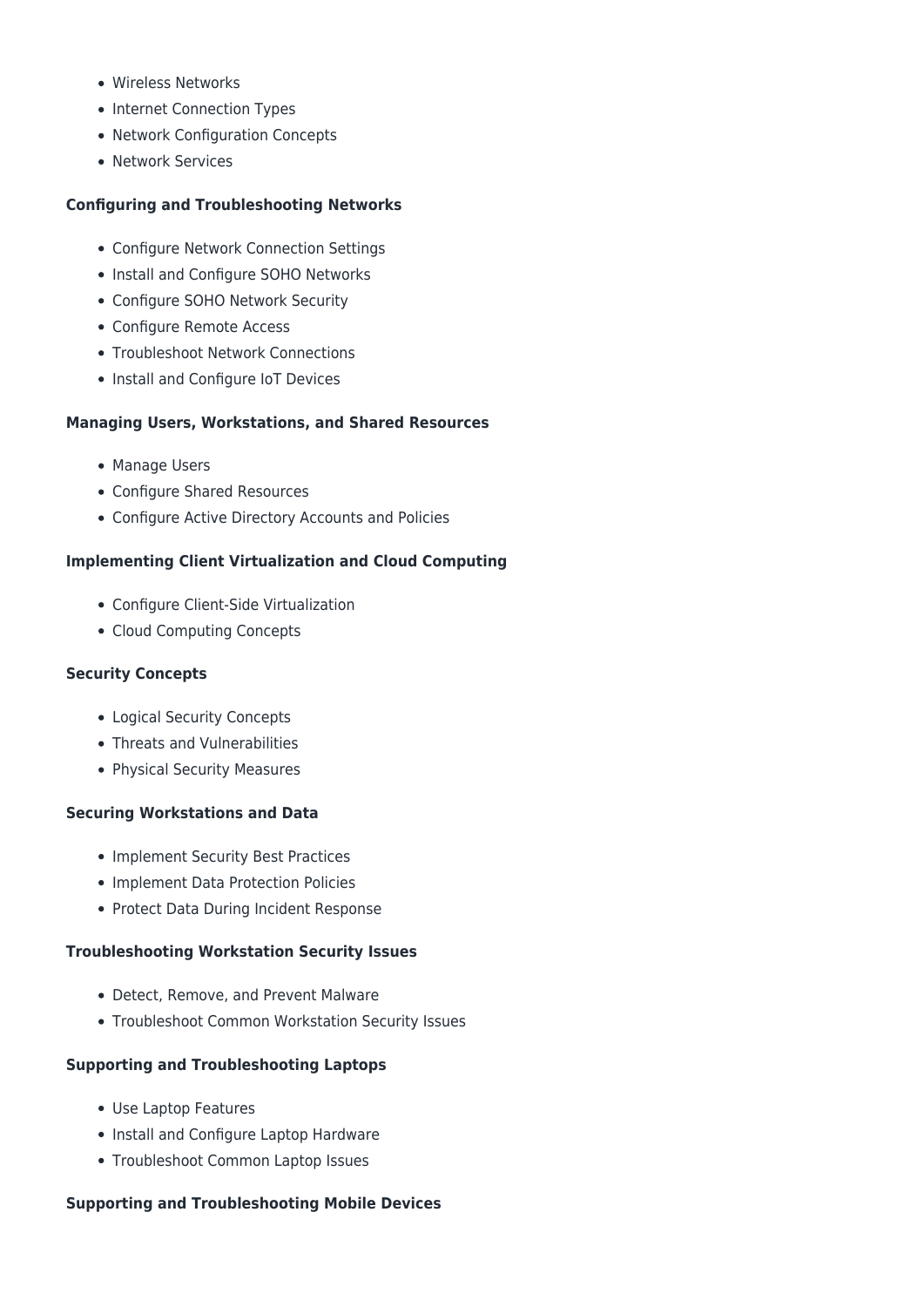- Wireless Networks
- Internet Connection Types
- Network Configuration Concepts
- Network Services

#### **Configuring and Troubleshooting Networks**

- Configure Network Connection Settings
- Install and Configure SOHO Networks
- Configure SOHO Network Security
- Configure Remote Access
- Troubleshoot Network Connections
- Install and Configure IoT Devices

#### **Managing Users, Workstations, and Shared Resources**

- Manage Users
- Configure Shared Resources
- Configure Active Directory Accounts and Policies

#### **Implementing Client Virtualization and Cloud Computing**

- Configure Client-Side Virtualization
- Cloud Computing Concepts

#### **Security Concepts**

- Logical Security Concepts
- Threats and Vulnerabilities
- Physical Security Measures

#### **Securing Workstations and Data**

- Implement Security Best Practices
- Implement Data Protection Policies
- Protect Data During Incident Response

#### **Troubleshooting Workstation Security Issues**

- Detect, Remove, and Prevent Malware
- Troubleshoot Common Workstation Security Issues

#### **Supporting and Troubleshooting Laptops**

- Use Laptop Features
- Install and Configure Laptop Hardware
- Troubleshoot Common Laptop Issues

#### **Supporting and Troubleshooting Mobile Devices**